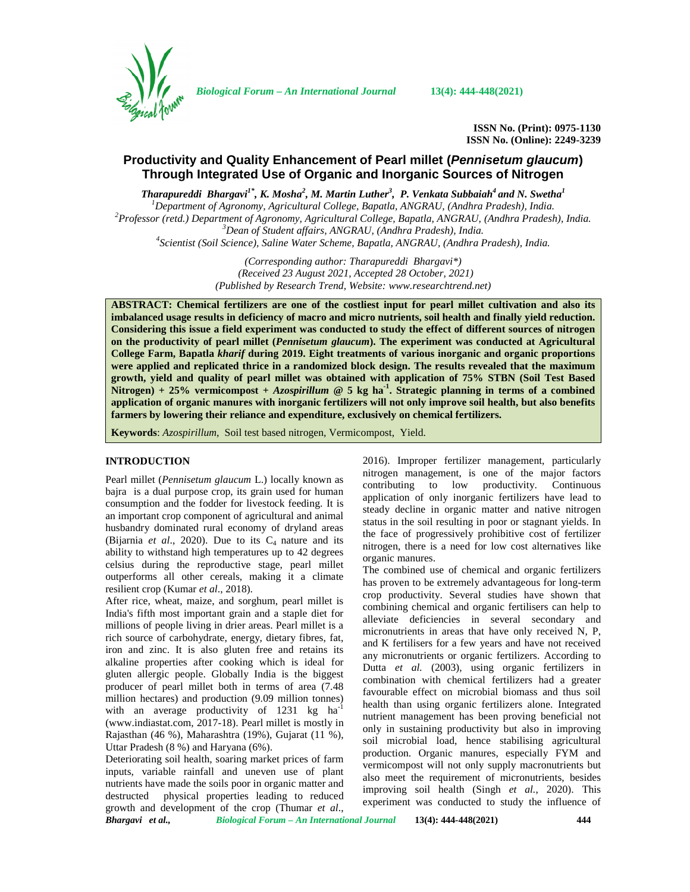

*Biological Forum – An International Journal* **13(4): 444-448(2021)**

**ISSN No. (Print): 0975-1130 ISSN No. (Online): 2249-3239**

# **Productivity and Quality Enhancement of Pearl millet (***Pennisetum glaucum***) Through Integrated Use of Organic and Inorganic Sources of Nitrogen**

*Tharapureddi Bhargavi1\* , K. Mosha<sup>2</sup> , M. Martin Luther<sup>3</sup> , P. Venkata Subbaiah<sup>4</sup> and N. Swetha<sup>1</sup>*

<sup>1</sup>Department of Agronomy, Agricultural College, Bapatla, ANGRAU, (Andhra Pradesh), India.<br><sup>2</sup>Professor (retd.) Department of Agronomy, Agricultural College, Bapatla, ANGRAU, (Andhra Pradesh), India.<br><sup>3</sup>Dean of Student aff

*(Corresponding author: Tharapureddi Bhargavi\*) (Received 23 August 2021, Accepted 28 October, 2021) (Published by Research Trend, Website: [www.researchtrend.net\)](www.researchtrend.net)*

**ABSTRACT: Chemical fertilizers are one of the costliest input for pearl millet cultivation and also its imbalanced usage results in deficiency of macro and micro nutrients, soil health and finally yield reduction. Considering this issue a field experiment was conducted to study the effect of different sources of nitrogen on the productivity of pearl millet (***Pennisetum glaucum***). The experiment was conducted at Agricultural College Farm, Bapatla** *kharif* **during 2019. Eight treatments of various inorganic and organic proportions were applied and replicated thrice in a randomized block design. The results revealed that the maximum growth, yield and quality of pearl millet was obtained with application of 75% STBN (Soil Test Based Nitrogen) + 25% vermicompost +** *Azospirillum* **@ 5 kg ha-1 . Strategic planning in terms of a combined application of organic manures with inorganic fertilizers will not only improve soil health, but also benefits farmers by lowering their reliance and expenditure, exclusively on chemical fertilizers.**

**Keywords**: *Azospirillum*, Soil test based nitrogen, Vermicompost, Yield.

### **INTRODUCTION**

Pearl millet (*Pennisetum glaucum* L.) locally known as bajra is a dual purpose crop, its grain used for human consumption and the fodder for livestock feeding. It is an important crop component of agricultural and animal husbandry dominated rural economy of dryland areas (Bijarnia  $et$  al., 2020). Due to its  $C_4$  nature and its ability to withstand high temperatures up to 42 degrees celsius during the reproductive stage, pearl millet outperforms all other cereals, making it a climate resilient crop (Kumar *et al*., 2018).

After rice, wheat, maize, and sorghum, pearl millet is India's fifth most important grain and a staple diet for millions of people living in drier areas. Pearl millet is a rich source of carbohydrate, energy, dietary fibres, fat, iron and zinc. It is also gluten free and retains its alkaline properties after cooking which is ideal for gluten allergic people. Globally India is the biggest producer of pearl millet both in terms of area (7.48 million hectares) and production (9.09 million tonnes) with an average productivity of 1231 kg  $ha^{-1}$ ([www.indiastat.com,](www.indiastat.com) 2017-18). Pearl millet is mostly in Rajasthan (46 %), Maharashtra (19%), Gujarat (11 %), Uttar Pradesh (8 %) and Haryana (6%).

*Bhargavi et al., Biological Forum – An International Journal* **13(4): 444-448(2021) 444** Deteriorating soil health, soaring market prices of farm inputs, variable rainfall and uneven use of plant nutrients have made the soils poor in organic matter and destructed physical properties leading to reduced growth and development of the crop (Thumar *et al*.,

2016). Improper fertilizer management, particularly nitrogen management, is one of the major factors contributing to low productivity. Continuous application of only inorganic fertilizers have lead to steady decline in organic matter and native nitrogen status in the soil resulting in poor or stagnant yields. In the face of progressively prohibitive cost of fertilizer nitrogen, there is a need for low cost alternatives like organic manures.

The combined use of chemical and organic fertilizers has proven to be extremely advantageous for long-term crop productivity. Several studies have shown that combining chemical and organic fertilisers can help to alleviate deficiencies in several secondary and micronutrients in areas that have only received N, P, and K fertilisers for a few years and have not received any micronutrients or organic fertilizers. According to Dutta *et al.* (2003), using organic fertilizers in combination with chemical fertilizers had a greater favourable effect on microbial biomass and thus soil health than using organic fertilizers alone. Integrated nutrient management has been proving beneficial not only in sustaining productivity but also in improving soil microbial load, hence stabilising agricultural production. Organic manures, especially FYM and vermicompost will not only supply macronutrients but also meet the requirement of micronutrients, besides improving soil health (Singh *et al.*, 2020). This experiment was conducted to study the influence of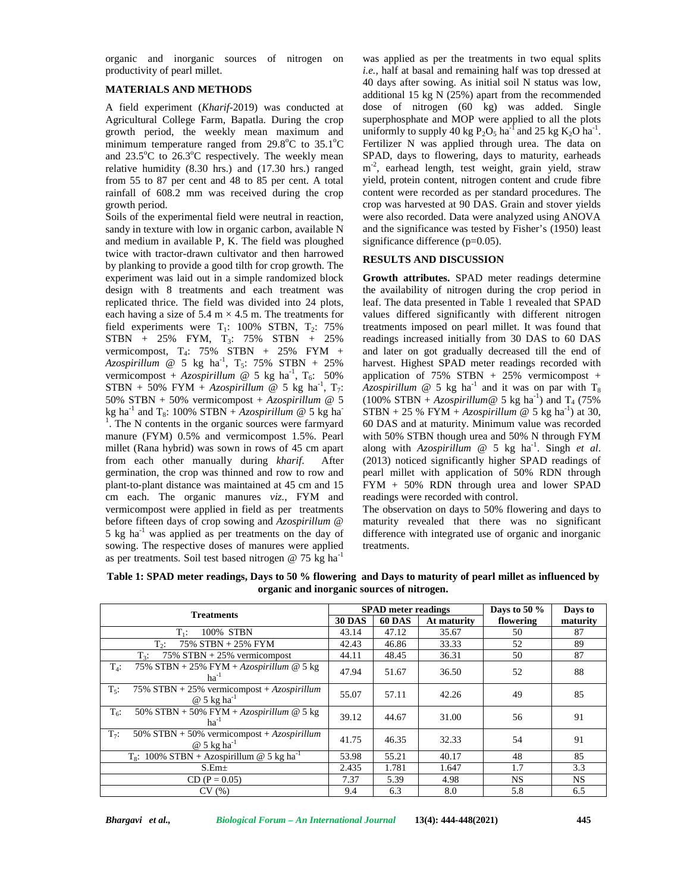organic and inorganic sources of nitrogen on productivity of pearl millet.

### **MATERIALS AND METHODS**

A field experiment (*Kharif-*2019) was conducted at Agricultural College Farm, Bapatla. During the crop growth period, the weekly mean maximum and minimum temperature ranged from  $29.8^{\circ}$ C to  $35.1^{\circ}$ C and  $23.5^{\circ}$ C to  $26.3^{\circ}$ C respectively. The weekly mean relative humidity (8.30 hrs.) and (17.30 hrs.) ranged from 55 to 87 per cent and 48 to 85 per cent. A total rainfall of 608.2 mm was received during the crop growth period.

Soils of the experimental field were neutral in reaction, sandy in texture with low in organic carbon, available N and medium in available P, K. The field was ploughed twice with tractor-drawn cultivator and then harrowed by planking to provide a good tilth for crop growth. The experiment was laid out in a simple randomized block design with 8 treatments and each treatment was replicated thrice. The field was divided into 24 plots, each having a size of 5.4 m  $\times$  4.5 m. The treatments for field experiments were  $T_1$ : 100% STBN,  $T_2$ : 75% STBN + 25% FYM, T3: 75% STBN + 25% vermicompost,  $T_4$ : 75% STBN + 25% FYM + and la  $Azospirillum \quad @ 5 kg$  ha<sup>-1</sup>, T<sub>5</sub>: 75% STBN + 25% harvest. Hi<sub>3</sub> vermicompost + *Azospirillum* @ 5 kg ha<sup>-1</sup>,  $T_6$ : 50%  $STBN + 50\%$  FYM + *Azospirillum* @ 5 kg ha<sup>-1</sup>, T<sub>7</sub>: *A* 50% STBN + 50% vermicompost + *Azospirillum* @ 5 kg ha<sup>-1</sup> and T<sub>8</sub>: 100% STBN + *Azospirillum* @ 5 kg ha<sup>-1</sup> The N system of the 1 . The N contents in the organic sources were farmyard manure (FYM) 0.5% and vermicompost 1.5%. Pearl millet (Rana hybrid) was sown in rows of 45 cm apart from each other manually during *kharif*. After germination, the crop was thinned and row to row and plant-to-plant distance was maintained at 45 cm and 15 cm each. The organic manures *viz.*, FYM and vermicompost were applied in field as per treatments before fifteen days of crop sowing and *Azospirillum* @ 5 kg ha $^{-1}$  was applied as per treatments on the day of sowing. The respective doses of manures were applied as per treatments. Soil test based nitrogen  $@ 75$  kg ha<sup>-1</sup>

was applied as per the treatments in two equal splits *i.e.,* half at basal and remaining half was top dressed at 40 days after sowing. As initial soil N status was low, additional 15 kg N (25%) apart from the recommended dose of nitrogen (60 kg) was added. Single superphosphate and MOP were applied to all the plots uniformly to supply 40 kg  $P_2O_5$  ha<sup>-1</sup> and 25 kg  $K_2O$  ha<sup>-1</sup>. Fertilizer N was applied through urea. The data on SPAD, days to flowering, days to maturity, earheads m<sup>-2</sup>, earhead length, test weight, grain yield, straw yield, protein content, nitrogen content and crude fibre content were recorded as per standard procedures. The crop was harvested at 90 DAS. Grain and stover yields were also recorded. Data were analyzed using ANOVA and the significance was tested by Fisher's (1950) least significance difference (p=0.05).

## **RESULTS AND DISCUSSION**

 $T_6$ : 50% application of 75% STBN + 25% vermicompost + **Growth attributes.** SPAD meter readings determine the availability of nitrogen during the crop period in leaf. The data presented in Table 1 revealed that SPAD values differed significantly with different nitrogen treatments imposed on pearl millet. It was found that readings increased initially from 30 DAS to 60 DAS and later on got gradually decreased till the end of harvest. Highest SPAD meter readings recorded with *Azospirillum* @ 5 kg ha<sup>-1</sup> and it was on par with  $T_8$  $(100\%$  STBN + *Azospirillum* @ 5 kg ha<sup>-1</sup>) and T<sub>4</sub> (75%)  $STBN + 25 % FYM + Azospirillum @ 5 kg ha<sup>-1</sup>) at 30,$ 60 DAS and at maturity. Minimum value was recorded with 50% STBN though urea and 50% N through FYM along with *Azospirillum* @ 5 kg ha-1 . Singh *et al*. (2013) noticed significantly higher SPAD readings of pearl millet with application of 50% RDN through FYM + 50% RDN through urea and lower SPAD readings were recorded with control.

> The observation on days to 50% flowering and days to maturity revealed that there was no significant difference with integrated use of organic and inorganic treatments.

|                                                                                             | <b>SPAD</b> meter readings |               |             | Days to 50 $\%$ | Days to  |
|---------------------------------------------------------------------------------------------|----------------------------|---------------|-------------|-----------------|----------|
| <b>Treatments</b>                                                                           | <b>30 DAS</b>              | <b>60 DAS</b> | At maturity | flowering       | maturity |
| 100% STBN<br>$T_1$ :                                                                        | 43.14                      | 47.12         | 35.67       | 50              | 87       |
| 75% STBN + 25% FYM<br>$T_{2}$ :                                                             | 42.43                      | 46.86         | 33.33       | 52              | 89       |
| $75\%$ STBN + 25% vermicompost<br>$T_3$ :                                                   | 44.11                      | 48.45         | 36.31       | 50              | 87       |
| 75% STBN + 25% FYM + Azospirillum $@$ 5 kg<br>$T_4$ :<br>$ha^{-1}$                          | 47.94                      | 51.67         | 36.50       | 52              | 88       |
| 75% STBN + 25% vermicompost + $Azospirillum$<br>$T_{5}$ :<br>$\omega$ 5 kg ha <sup>-1</sup> | 55.07                      | 57.11         | 42.26       | 49              | 85       |
| 50% STBN + 50% FYM + $Azospirillum @ 5 kg$<br>$T_6$ :<br>$ha^{-1}$                          | 39.12                      | 44.67         | 31.00       | 56              | 91       |
| $T_7$ :<br>50% STBN + 50% vermicompost + $Azospirillum$<br>$\omega$ 5 kg ha <sup>-1</sup>   | 41.75                      | 46.35         | 32.33       | 54              | 91       |
| $T_s$ : 100% STBN + Azospirillum @ 5 kg ha <sup>-1</sup>                                    | 53.98                      | 55.21         | 40.17       | 48              | 85       |
| $S.Em\pm$                                                                                   | 2.435                      | 1.781         | 1.647       | 1.7             | 3.3      |
| $CD (P = 0.05)$                                                                             | 7.37                       | 5.39          | 4.98        | <b>NS</b>       | NS.      |
| CV(%)                                                                                       | 9.4                        | 6.3           | 8.0         | 5.8             | 6.5      |

**Table 1: SPAD meter readings, Days to 50 % flowering and Days to maturity of pearl millet as influenced by organic and inorganic sources of nitrogen.**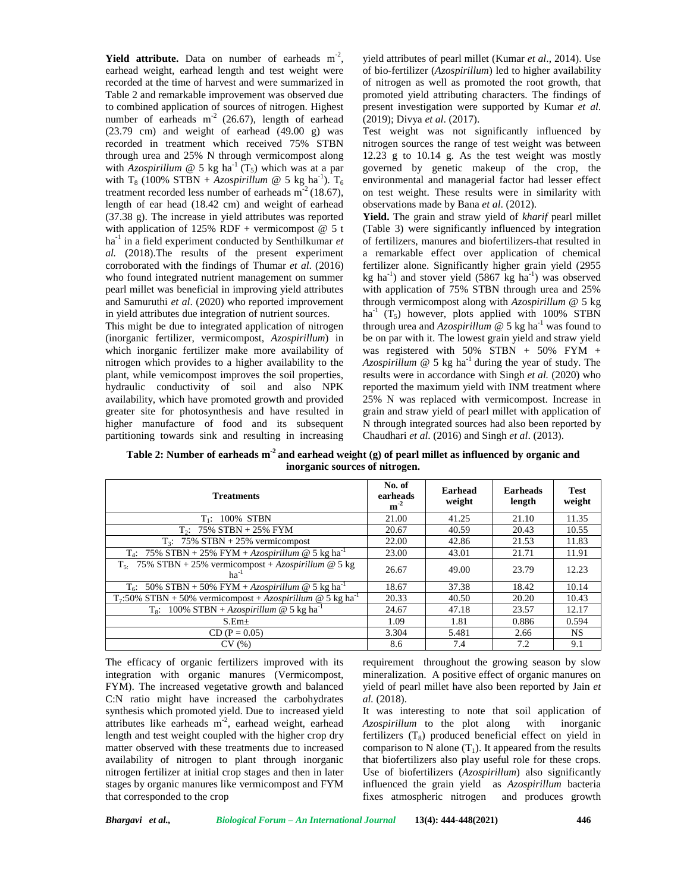**Yield attribute.** Data on number of earheads  $m<sup>2</sup>$ , y earhead weight, earhead length and test weight were recorded at the time of harvest and were summarized in Table 2 and remarkable improvement was observed due to combined application of sources of nitrogen. Highest number of earheads  $m<sup>2</sup>$  (26.67), length of earhead (23.79 cm) and weight of earhead (49.00 g) was recorded in treatment which received 75% STBN through urea and 25% N through vermicompost along with *Azospirillum*  $\omega$  5 kg ha<sup>-1</sup> (T<sub>5</sub>) which was at a par with T<sub>8</sub> (100% STBN + *Azospirillum* @ 5 kg ha<sup>-1</sup>). T<sub>6</sub> treatment recorded less number of earheads  $m<sup>-2</sup>$  (18.67), length of ear head (18.42 cm) and weight of earhead (37.38 g). The increase in yield attributes was reported with application of 125% RDF + vermicompost  $@$  5 t ha-1 in a field experiment conducted by Senthilkumar *et al.* (2018).The results of the present experiment corroborated with the findings of Thumar *et al*. (2016) who found integrated nutrient management on summer pearl millet was beneficial in improving yield attributes and Samuruthi *et al*. (2020) who reported improvement in yield attributes due integration of nutrient sources.

This might be due to integrated application of nitrogen (inorganic fertilizer, vermicompost, *Azospirillum*) in which inorganic fertilizer make more availability of nitrogen which provides to a higher availability to the plant, while vemicompost improves the soil properties, hydraulic conductivity of soil and also NPK availability, which have promoted growth and provided greater site for photosynthesis and have resulted in higher manufacture of food and its subsequent partitioning towards sink and resulting in increasing

yield attributes of pearl millet (Kumar *et al*., 2014). Use of bio-fertilizer (*Azospirillum*) led to higher availability of nitrogen as well as promoted the root growth, that promoted yield attributing characters. The findings of present investigation were supported by Kumar *et al*. (2019); Divya *et al*. (2017).

Test weight was not significantly influenced by nitrogen sources the range of test weight was between 12.23 g to 10.14 g. As the test weight was mostly governed by genetic makeup of the crop, the environmental and managerial factor had lesser effect on test weight. These results were in similarity with observations made by Bana *et al*. (2012).

**Yield.** The grain and straw yield of *kharif* pearl millet (Table 3) were significantly influenced by integration of fertilizers, manures and biofertilizers that resulted in a remarkable effect over application of chemical fertilizer alone. Significantly higher grain yield (2955 kg ha<sup>-1</sup>) and stover yield  $(5867 \text{ kg ha}^{-1})$  was observed with application of 75% STBN through urea and 25% through vermicompost along with *Azospirillum* @ 5 kg ha<sup>-1</sup> (T<sub>5</sub>) however, plots applied with 100% STBN through urea and  $A_{Z}$ *cospirillum*  $\omega$  5 kg ha<sup>-1</sup> was found to be on par with it. The lowest grain yield and straw yield was registered with  $50\%$  STBN +  $50\%$  FYM + *Azospirillum*  $\omega$  5 kg ha<sup>-1</sup> during the year of study. The results were in accordance with Singh *et al.* (2020) who reported the maximum yield with INM treatment where 25% N was replaced with vermicompost. Increase in grain and straw yield of pearl millet with application of N through integrated sources had also been reported by Chaudhari *et al*. (2016) and Singh *et al*. (2013).

**Table 2: Number of earheads m-2 and earhead weight (g) of pearl millet as influenced by organic and inorganic sources of nitrogen.**

| <b>Treatments</b>                                                         | No. of<br>earheads<br>$m^{-2}$ | <b>Earhead</b><br>weight | <b>Earheads</b><br>length | <b>Test</b><br>weight |
|---------------------------------------------------------------------------|--------------------------------|--------------------------|---------------------------|-----------------------|
| $T_1$ : 100% STBN                                                         | 21.00                          | 41.25                    | 21.10                     | 11.35                 |
| $T_2$ : 75% STBN + 25% FYM                                                | 20.67                          | 40.59                    | 20.43                     | 10.55                 |
| $T_3$ : 75% STBN + 25% vermicompost                                       | 22.00                          | 42.86                    | 21.53                     | 11.83                 |
| $T_4$ : 75% STBN + 25% FYM + Azospirillum @ 5 kg ha <sup>-1</sup>         | 23.00                          | 43.01                    | 21.71                     | 11.91                 |
| $T_{5}$ : 75% STBN + 25% vermicompost + Azospirillum @ 5 kg<br>$ha^{-1}$  | 26.67                          | 49.00                    | 23.79                     | 12.23                 |
| $T_6$ : 50% STBN + 50% FYM + Azospirillum @ 5 kg ha <sup>-1</sup>         | 18.67                          | 37.38                    | 18.42                     | 10.14                 |
| $T_7:50\%$ STBN + 50% vermicompost + Azospirillum @ 5 kg ha <sup>-1</sup> | 20.33                          | 40.50                    | 20.20                     | 10.43                 |
| T <sub>8</sub> : 100% STBN + Azospirillum @ 5 kg ha <sup>-1</sup>         | 24.67                          | 47.18                    | 23.57                     | 12.17                 |
| S.Em <sub>±</sub>                                                         | 1.09                           | 1.81                     | 0.886                     | 0.594                 |
| $CD (P = 0.05)$                                                           | 3.304                          | 5.481                    | 2.66                      | NS.                   |
| CV(%)                                                                     | 8.6                            | 7.4                      | 7.2                       | 9.1                   |

The efficacy of organic fertilizers improved with its integration with organic manures (Vermicompost, FYM). The increased vegetative growth and balanced C:N ratio might have increased the carbohydrates synthesis which promoted yield. Due to increased yield attributes like earheads  $m<sup>2</sup>$ , earhead weight, earhead Azosp length and test weight coupled with the higher crop dry matter observed with these treatments due to increased availability of nitrogen to plant through inorganic nitrogen fertilizer at initial crop stages and then in later stages by organic manures like vermicompost and FYM that corresponded to the crop

requirement throughout the growing season by slow mineralization. A positive effect of organic manures on yield of pearl millet have also been reported by Jain *et al.* (2018).

It was interesting to note that soil application of *Azospirillum* to the plot along with inorganic fertilizers  $(T_8)$  produced beneficial effect on yield in comparison to N alone  $(T_1)$ . It appeared from the results that biofertilizers also play useful role for these crops. Use of biofertilizers (*Azospirillum*) also significantly influenced the grain yield as *Azospirillum* bacteria fixes atmospheric nitrogen and produces growth

*Bhargavi et al., Biological Forum – An International Journal* **13(4): 444-448(2021) 446**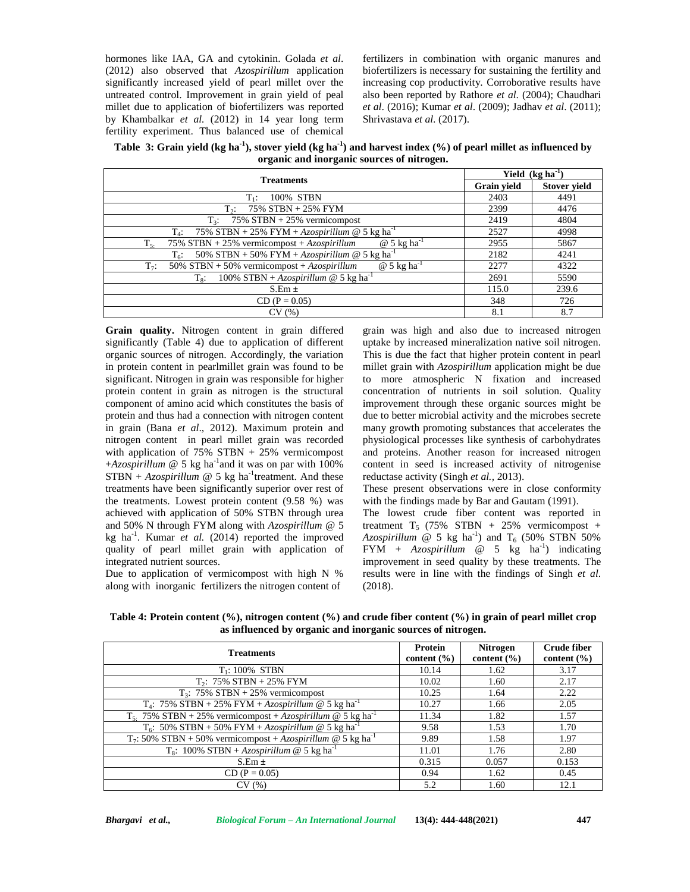hormones like IAA, GA and cytokinin. Golada *et al*. (2012) also observed that *Azospirillum* application significantly increased yield of pearl millet over the untreated control. Improvement in grain yield of peal millet due to application of biofertilizers was reported by Khambalkar *et al.* (2012) in 14 year long term fertility experiment. Thus balanced use of chemical

fertilizers in combination with organic manures and biofertilizers is necessary for sustaining the fertility and increasing cop productivity. Corroborative results have also been reported by Rathore *et al*. (2004); Chaudhari *et al*. (2016); Kumar *et al*. (2009); Jadhav *et al*. (2011); Shrivastava *et al*. (2017).

**Table 3: Grain yield (kg ha-1), stover yield (kg ha-1) and harvest index (%) of pearl millet as influenced by organic and inorganic sources of nitrogen.**

| <b>Treatments</b>                                                                         |                    | Yield $(kg ha^{-1})$ |  |  |
|-------------------------------------------------------------------------------------------|--------------------|----------------------|--|--|
|                                                                                           | <b>Grain yield</b> | <b>Stover yield</b>  |  |  |
| 100% STBN<br>Tæ                                                                           | 2403               | 4491                 |  |  |
| 75% STBN + 25% FYM<br>$T_{2}$ :                                                           | 2399               | 4476                 |  |  |
| $T_3$ : 75% STBN + 25% vermicompost                                                       | 2419               | 4804                 |  |  |
| $T_4$ : 75% STBN + 25% FYM + Azospirillum @ 5 kg ha <sup>-1</sup>                         | 2527               | 4998                 |  |  |
| $\omega$ 5 kg ha <sup>-1</sup><br>75% STBN + 25% vermicompost + $Azospirillum$<br>$T_{5}$ | 2955               | 5867                 |  |  |
| $T_6$ : 50% STBN + 50% FYM + Azospirillum @ 5 kg ha <sup>-1</sup>                         | 2182               | 4241                 |  |  |
| 50% STBN + 50% vermicompost + $Azospirillum$<br>$@5 \text{ kg ha}^{-1}$<br>$T_7$ :        | 2277               | 4322                 |  |  |
| 100% STBN + Azospirillum @ 5 kg ha <sup>-1</sup><br>$T_{8}$ :                             | 2691               | 5590                 |  |  |
| $S.Em \pm$                                                                                | 115.0              | 239.6                |  |  |
| $CD (P = 0.05)$                                                                           | 348                | 726                  |  |  |
| CV(%)                                                                                     | 8.1                | 8.7                  |  |  |

**Grain quality.** Nitrogen content in grain differed significantly (Table 4) due to application of different organic sources of nitrogen. Accordingly, the variation in protein content in pearlmillet grain was found to be significant. Nitrogen in grain was responsible for higher protein content in grain as nitrogen is the structural component of amino acid which constitutes the basis of protein and thus had a connection with nitrogen content in grain (Bana *et al*., 2012). Maximum protein and nitrogen content in pearl millet grain was recorded with application of  $75\%$  STBN +  $25\%$  vermicompost  $+Azospirillum \t@ 5 kg ha<sup>-1</sup>$  and it was on par with 100%  $STBN + Azospirillum @ 5 kg ha<sup>-1</sup> treatment. And these redu$ treatments have been significantly superior over rest of the treatments. Lowest protein content (9.58 %) was achieved with application of 50% STBN through urea and 50% N through FYM along with *Azospirillum* @ 5 kg ha<sup>-1</sup>. Kumar *et al.* (2014) reported the improved Azosp quality of pearl millet grain with application of integrated nutrient sources.

Due to application of vermicompost with high N % along with inorganic fertilizers the nitrogen content of

grain was high and also due to increased nitrogen uptake by increased mineralization native soil nitrogen. This is due the fact that higher protein content in pearl millet grain with *Azospirillum* application might be due to more atmospheric N fixation and increased concentration of nutrients in soil solution. Quality improvement through these organic sources might be due to better microbial activity and the microbes secrete many growth promoting substances that accelerates the physiological processes like synthesis of carbohydrates and proteins. Another reason for increased nitrogen content in seed is increased activity of nitrogenise reductase activity (Singh *et al.,* 2013).

These present observations were in close conformity with the findings made by Bar and Gautam (1991).

The lowest crude fiber content was reported in treatment  $T_5$  (75% STBN + 25% vermicompost + *Azospirillum* @ 5 kg ha<sup>-1</sup>) and  $T_6$  (50% STBN 50%) FYM +  $Azospirillum$  @ 5 kg ha<sup>-1</sup>) indicating improvement in seed quality by these treatments. The results were in line with the findings of Singh *et al*. (2018).

**Table 4: Protein content (%), nitrogen content (%) and crude fiber content (%) in grain of pearl millet crop as influenced by organic and inorganic sources of nitrogen.**

| <b>Treatments</b>                                                                   | Protein<br>content $(\% )$ | <b>Nitrogen</b><br>content $(\% )$ | <b>Crude fiber</b><br>content $(\% )$ |
|-------------------------------------------------------------------------------------|----------------------------|------------------------------------|---------------------------------------|
| $T_1$ : 100% STBN                                                                   | 10.14                      | 1.62                               | 3.17                                  |
| $T_2$ : 75% STBN + 25% FYM                                                          | 10.02                      | 1.60                               | 2.17                                  |
| $T_3$ : 75% STBN + 25% vermicompost                                                 | 10.25                      | 1.64                               | 2.22                                  |
| $T_4$ : 75% STBN + 25% FYM + Azospirillum @ 5 kg ha <sup>-1</sup>                   | 10.27                      | 1.66                               | 2.05                                  |
| $T_5$ : 75% STBN + 25% vermicompost + Azospirillum @ 5 kg ha <sup>-1</sup>          | 11.34                      | 1.82                               | 1.57                                  |
| $T_6$ : 50% STBN + 50% FYM + Azospirillum @ 5 kg ha <sup>-1</sup>                   | 9.58                       | 1.53                               | 1.70                                  |
| T <sub>7</sub> : 50% STBN + 50% vermicompost + Azospirillum @ 5 kg ha <sup>-1</sup> | 9.89                       | 1.58                               | 1.97                                  |
| $T_8$ : 100% STBN + Azospirillum @ 5 kg ha <sup>1</sup>                             | 11.01                      | 1.76                               | 2.80                                  |
| $S.Em \pm$                                                                          | 0.315                      | 0.057                              | 0.153                                 |
| $CD (P = 0.05)$                                                                     | 0.94                       | 1.62                               | 0.45                                  |
| CV(%)                                                                               | 5.2                        | 1.60                               | 12.1                                  |